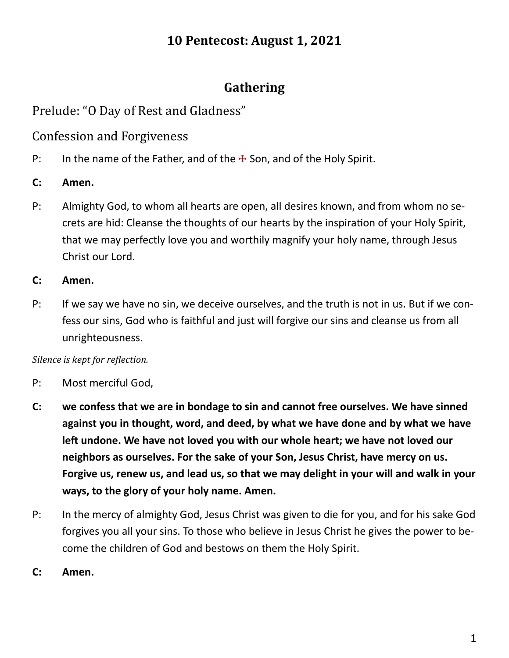## **10 Pentecost: August 1, 2021**

## **Gathering**

## Prelude: "O Day of Rest and Gladness"

Confession and Forgiveness

- P: In the name of the Father, and of the  $\pm$  Son, and of the Holy Spirit.
- **C: Amen.**
- P: Almighty God, to whom all hearts are open, all desires known, and from whom no secrets are hid: Cleanse the thoughts of our hearts by the inspiration of your Holy Spirit, that we may perfectly love you and worthily magnify your holy name, through Jesus Christ our Lord.
- **C: Amen.**
- P: If we say we have no sin, we deceive ourselves, and the truth is not in us. But if we confess our sins, God who is faithful and just will forgive our sins and cleanse us from all unrighteousness.

#### *Silence is kept for reflection.*

- P: Most merciful God,
- **C: we confess that we are in bondage to sin and cannot free ourselves. We have sinned against you in thought, word, and deed, by what we have done and by what we have left undone. We have not loved you with our whole heart; we have not loved our neighbors as ourselves. For the sake of your Son, Jesus Christ, have mercy on us. Forgive us, renew us, and lead us, so that we may delight in your will and walk in your ways, to the glory of your holy name. Amen.**
- P: In the mercy of almighty God, Jesus Christ was given to die for you, and for his sake God forgives you all your sins. To those who believe in Jesus Christ he gives the power to become the children of God and bestows on them the Holy Spirit.
- **C: Amen.**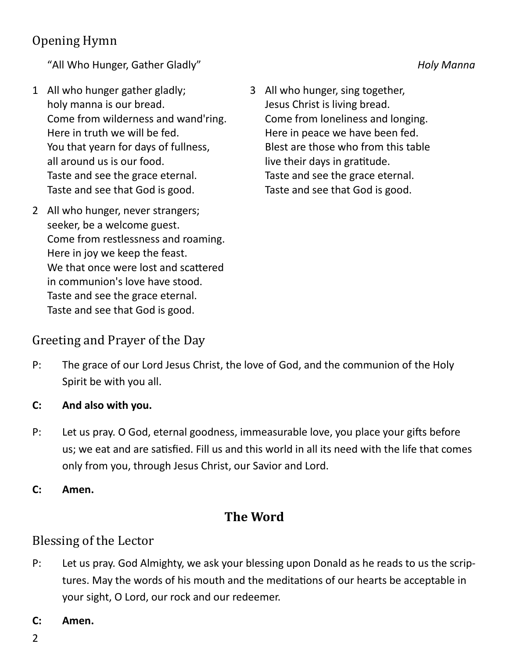# Opening Hymn

"All Who Hunger, Gather Gladly" *Holy Manna* 

- 1 All who hunger gather gladly; holy manna is our bread. Come from wilderness and wand'ring. Here in truth we will be fed. You that yearn for days of fullness, all around us is our food. Taste and see the grace eternal. Taste and see that God is good.
- 2 All who hunger, never strangers; seeker, be a welcome guest. Come from restlessness and roaming. Here in joy we keep the feast. We that once were lost and scattered in communion's love have stood. Taste and see the grace eternal. Taste and see that God is good.

3 All who hunger, sing together, Jesus Christ is living bread. Come from loneliness and longing. Here in peace we have been fed. Blest are those who from this table live their days in gratitude. Taste and see the grace eternal. Taste and see that God is good.

### Greeting and Prayer of the Day

- P: The grace of our Lord Jesus Christ, the love of God, and the communion of the Holy Spirit be with you all.
- **C: And also with you.**
- P: Let us pray. O God, eternal goodness, immeasurable love, you place your gifts before us; we eat and are satisfied. Fill us and this world in all its need with the life that comes only from you, through Jesus Christ, our Savior and Lord.
- **C: Amen.**

### **The Word**

### Blessing of the Lector

- P: Let us pray. God Almighty, we ask your blessing upon Donald as he reads to us the scriptures. May the words of his mouth and the meditations of our hearts be acceptable in your sight, O Lord, our rock and our redeemer.
- **C: Amen.**
- 2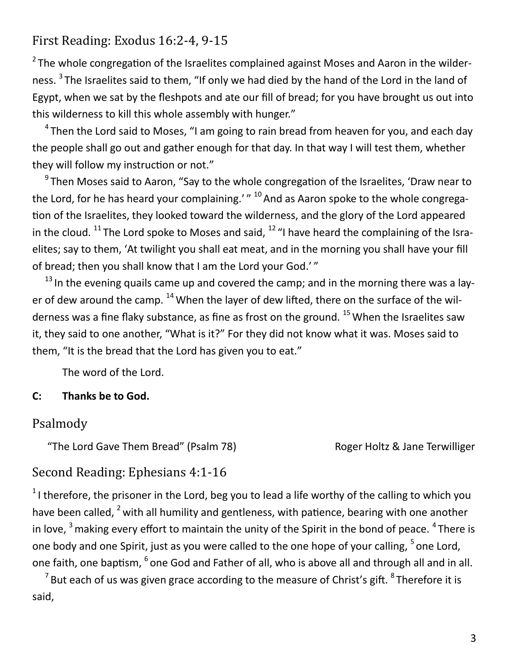## First Reading: Exodus 16:2-4, 9-15

 $2$  The whole congregation of the Israelites complained against Moses and Aaron in the wilderness. <sup>3</sup> The Israelites said to them, "If only we had died by the hand of the Lord in the land of Egypt, when we sat by the fleshpots and ate our fill of bread; for you have brought us out into this wilderness to kill this whole assembly with hunger."

 $4$ Then the Lord said to Moses, "I am going to rain bread from heaven for you, and each day the people shall go out and gather enough for that day. In that way I will test them, whether they will follow my instruction or not."

<sup>9</sup> Then Moses said to Aaron, "Say to the whole congregation of the Israelites, 'Draw near to the Lord, for he has heard your complaining.' $^{\prime}$   $^{\prime}$  1<sup>0</sup> And as Aaron spoke to the whole congregation of the Israelites, they looked toward the wilderness, and the glory of the Lord appeared in the cloud.  $^{11}$  The Lord spoke to Moses and said,  $^{12}$  "I have heard the complaining of the Israelites; say to them, 'At twilight you shall eat meat, and in the morning you shall have your fill of bread; then you shall know that I am the Lord your God.'"

 $13$  In the evening quails came up and covered the camp; and in the morning there was a layer of dew around the camp.  $^{14}$  When the layer of dew lifted, there on the surface of the wilderness was a fine flaky substance, as fine as frost on the ground.  $^{15}$  When the Israelites saw it, they said to one another, "What is it?" For they did not know what it was. Moses said to them, "It is the bread that the Lord has given you to eat."

The word of the Lord.

### **C: Thanks be to God.**

### Psalmody

"The Lord Gave Them Bread" (Psalm 78) Roger Holtz & Jane Terwilliger

### Second Reading: Ephesians 4:1-16

<sup>1</sup>I therefore, the prisoner in the Lord, beg you to lead a life worthy of the calling to which you have been called,  $2$  with all humility and gentleness, with patience, bearing with one another in love,  $3$  making every effort to maintain the unity of the Spirit in the bond of peace.  $4$  There is one body and one Spirit, just as you were called to the one hope of your calling, <sup>5</sup> one Lord, one faith, one baptism, <sup>6</sup> one God and Father of all, who is above all and through all and in all.

 $^7$ But each of us was given grace according to the measure of Christ's gift.  $^8$ Therefore it is said,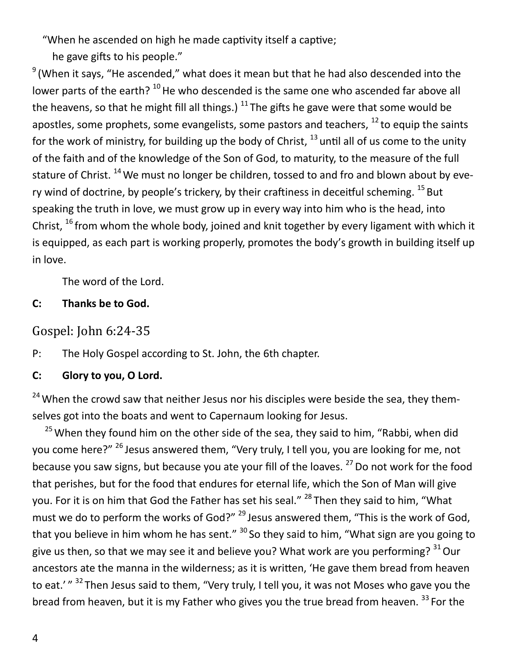"When he ascended on high he made captivity itself a captive;

he gave gifts to his people."

 $9$  (When it says, "He ascended," what does it mean but that he had also descended into the lower parts of the earth?  $^{10}$  He who descended is the same one who ascended far above all the heavens, so that he might fill all things.)  $^{11}$  The gifts he gave were that some would be apostles, some prophets, some evangelists, some pastors and teachers,  $^{12}$  to equip the saints for the work of ministry, for building up the body of Christ,  $^{13}$  until all of us come to the unity of the faith and of the knowledge of the Son of God, to maturity, to the measure of the full stature of Christ.  $^{14}$  We must no longer be children, tossed to and fro and blown about by every wind of doctrine, by people's trickery, by their craftiness in deceitful scheming.  $^{15}$  But speaking the truth in love, we must grow up in every way into him who is the head, into Christ,  $^{16}$  from whom the whole body, joined and knit together by every ligament with which it is equipped, as each part is working properly, promotes the body's growth in building itself up in love.

The word of the Lord.

### **C: Thanks be to God.**

Gospel: John 6:24-35

P: The Holy Gospel according to St. John, the 6th chapter.

### **C: Glory to you, O Lord.**

<sup>24</sup> When the crowd saw that neither Jesus nor his disciples were beside the sea, they themselves got into the boats and went to Capernaum looking for Jesus.

 $25$  When they found him on the other side of the sea, they said to him, "Rabbi, when did you come here?" <sup>26</sup> Jesus answered them, "Very truly, I tell you, you are looking for me, not because you saw signs, but because you ate your fill of the loaves.  $^{27}$  Do not work for the food that perishes, but for the food that endures for eternal life, which the Son of Man will give you. For it is on him that God the Father has set his seal." <sup>28</sup> Then they said to him, "What must we do to perform the works of God?" <sup>29</sup> Jesus answered them, "This is the work of God, that you believe in him whom he has sent."  $30$  So they said to him, "What sign are you going to give us then, so that we may see it and believe you? What work are you performing?  $31$  Our ancestors ate the manna in the wilderness; as it is written, 'He gave them bread from heaven to eat.' " <sup>32</sup> Then Jesus said to them, "Very truly, I tell you, it was not Moses who gave you the bread from heaven, but it is my Father who gives you the true bread from heaven.  $33$  For the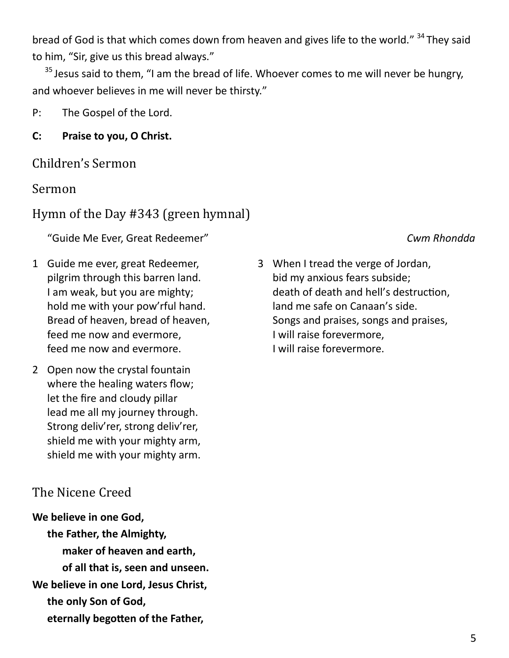bread of God is that which comes down from heaven and gives life to the world." <sup>34</sup> They said to him, "Sir, give us this bread always."

 $35$  Jesus said to them, "I am the bread of life. Whoever comes to me will never be hungry, and whoever believes in me will never be thirsty."

P: The Gospel of the Lord.

**C: Praise to you, O Christ.**

### Children's Sermon

### Sermon

## Hymn of the Day #343 (green hymnal)

"Guide Me Ever, Great Redeemer" *Cwm Rhondda*

- 1 Guide me ever, great Redeemer, pilgrim through this barren land. I am weak, but you are mighty; hold me with your pow'rful hand. Bread of heaven, bread of heaven, feed me now and evermore, feed me now and evermore.
- 2 Open now the crystal fountain where the healing waters flow; let the fire and cloudy pillar lead me all my journey through. Strong deliv'rer, strong deliv'rer, shield me with your mighty arm, shield me with your mighty arm.

## The Nicene Creed

**We believe in one God, the Father, the Almighty, maker of heaven and earth, of all that is, seen and unseen. We believe in one Lord, Jesus Christ, the only Son of God, eternally begotten of the Father,**

3 When I tread the verge of Jordan, bid my anxious fears subside; death of death and hell's destruction, land me safe on Canaan's side. Songs and praises, songs and praises, I will raise forevermore, I will raise forevermore.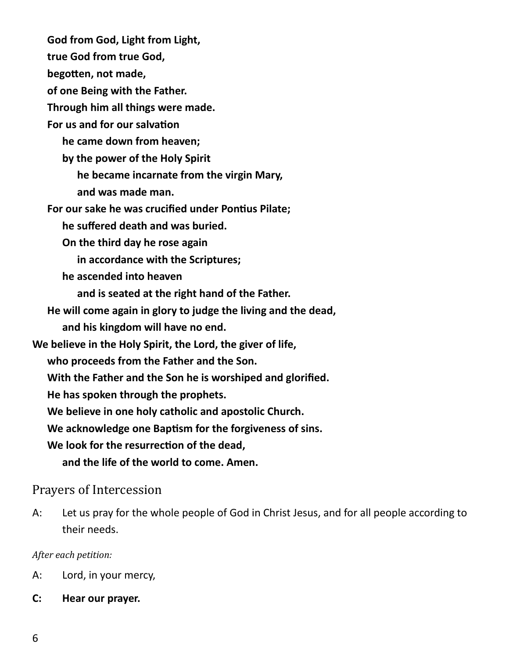**God from God, Light from Light, true God from true God, begotten, not made, of one Being with the Father. Through him all things were made. For us and for our salvation he came down from heaven; by the power of the Holy Spirit he became incarnate from the virgin Mary, and was made man. For our sake he was crucified under Pontius Pilate; he suffered death and was buried. On the third day he rose again in accordance with the Scriptures; he ascended into heaven and is seated at the right hand of the Father. He will come again in glory to judge the living and the dead, and his kingdom will have no end. We believe in the Holy Spirit, the Lord, the giver of life, who proceeds from the Father and the Son. With the Father and the Son he is worshiped and glorified. He has spoken through the prophets. We believe in one holy catholic and apostolic Church. We acknowledge one Baptism for the forgiveness of sins. We look for the resurrection of the dead, and the life of the world to come. Amen.**

### Prayers of Intercession

A: Let us pray for the whole people of God in Christ Jesus, and for all people according to their needs.

#### *After each petition:*

- A: Lord, in your mercy,
- **C: Hear our prayer.**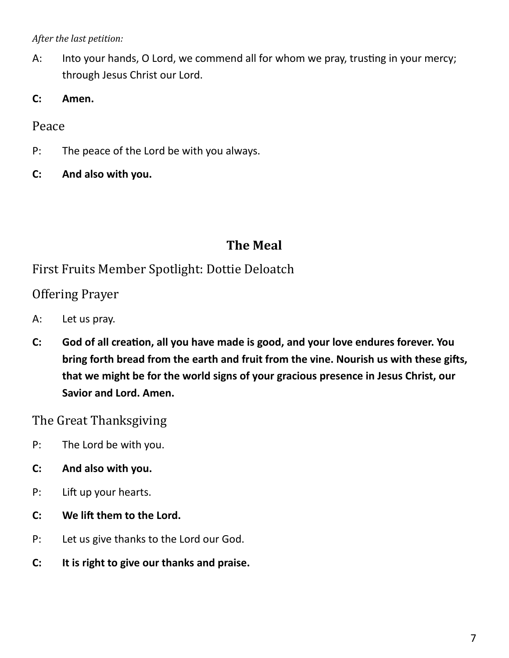*After the last petition:*

- A: Into your hands, O Lord, we commend all for whom we pray, trusting in your mercy; through Jesus Christ our Lord.
- **C: Amen.**

Peace

- P: The peace of the Lord be with you always.
- **C: And also with you.**

## **The Meal**

First Fruits Member Spotlight: Dottie Deloatch

Offering Prayer

- A: Let us pray.
- **C: God of all creation, all you have made is good, and your love endures forever. You bring forth bread from the earth and fruit from the vine. Nourish us with these gifts, that we might be for the world signs of your gracious presence in Jesus Christ, our Savior and Lord. Amen.**

The Great Thanksgiving

- P: The Lord be with you.
- **C: And also with you.**
- P: Lift up your hearts.
- **C: We lift them to the Lord.**
- P: Let us give thanks to the Lord our God.
- **C: It is right to give our thanks and praise.**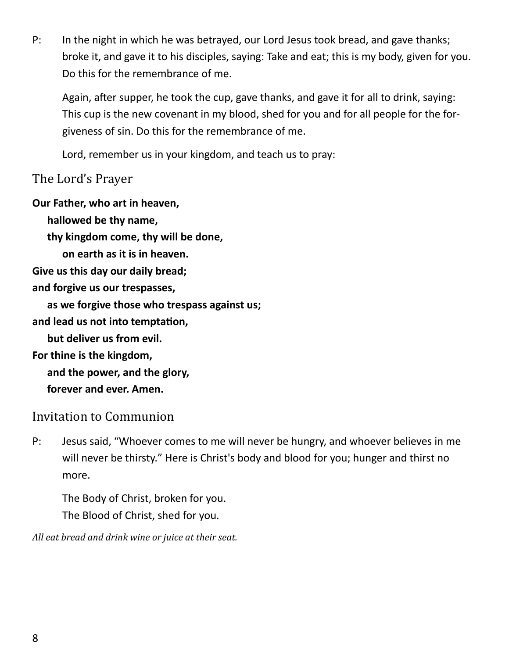P: In the night in which he was betrayed, our Lord Jesus took bread, and gave thanks; broke it, and gave it to his disciples, saying: Take and eat; this is my body, given for you. Do this for the remembrance of me.

Again, after supper, he took the cup, gave thanks, and gave it for all to drink, saying: This cup is the new covenant in my blood, shed for you and for all people for the forgiveness of sin. Do this for the remembrance of me.

Lord, remember us in your kingdom, and teach us to pray:

### The Lord's Prayer

**Our Father, who art in heaven,**

**hallowed be thy name,**

**thy kingdom come, thy will be done,**

**on earth as it is in heaven.**

**Give us this day our daily bread;**

**and forgive us our trespasses,**

**as we forgive those who trespass against us;**

**and lead us not into temptation,**

**but deliver us from evil.**

**For thine is the kingdom,**

**and the power, and the glory,**

**forever and ever. Amen.**

## Invitation to Communion

P: Jesus said, "Whoever comes to me will never be hungry, and whoever believes in me will never be thirsty." Here is Christ's body and blood for you; hunger and thirst no more.

The Body of Christ, broken for you. The Blood of Christ, shed for you.

*All eat bread and drink wine or juice at their seat.*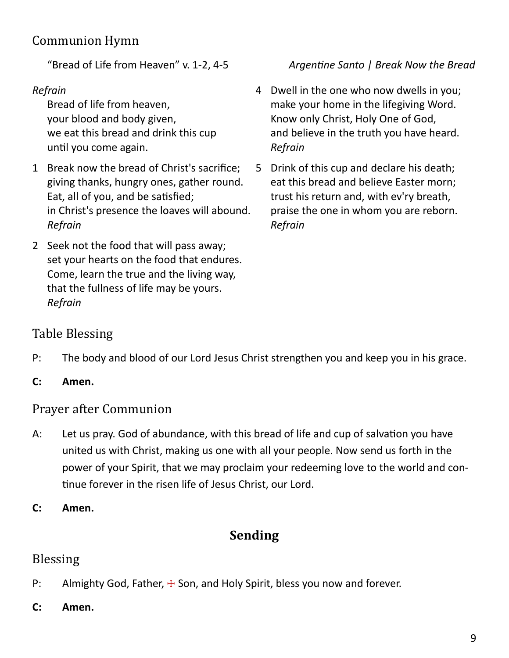# Communion Hymn

### *Refrain*

Bread of life from heaven, your blood and body given, we eat this bread and drink this cup until you come again.

- 1 Break now the bread of Christ's sacrifice; giving thanks, hungry ones, gather round. Eat, all of you, and be satisfied; in Christ's presence the loaves will abound. *Refrain*
- 2 Seek not the food that will pass away; set your hearts on the food that endures. Come, learn the true and the living way, that the fullness of life may be yours. *Refrain*

### "Bread of Life from Heaven" v. 1-2, 4-5 *Argentine Santo | Break Now the Bread*

- 4 Dwell in the one who now dwells in you; make your home in the lifegiving Word. Know only Christ, Holy One of God, and believe in the truth you have heard. *Refrain*
- 5 Drink of this cup and declare his death; eat this bread and believe Easter morn; trust his return and, with ev'ry breath, praise the one in whom you are reborn. *Refrain*

## Table Blessing

- P: The body and blood of our Lord Jesus Christ strengthen you and keep you in his grace.
- **C: Amen.**

## Prayer after Communion

- A: Let us pray. God of abundance, with this bread of life and cup of salvation you have united us with Christ, making us one with all your people. Now send us forth in the power of your Spirit, that we may proclaim your redeeming love to the world and continue forever in the risen life of Jesus Christ, our Lord.
- **C: Amen.**

# **Sending**

## Blessing

- P: Almighty God, Father,  $\pm$  Son, and Holy Spirit, bless you now and forever.
- **C: Amen.**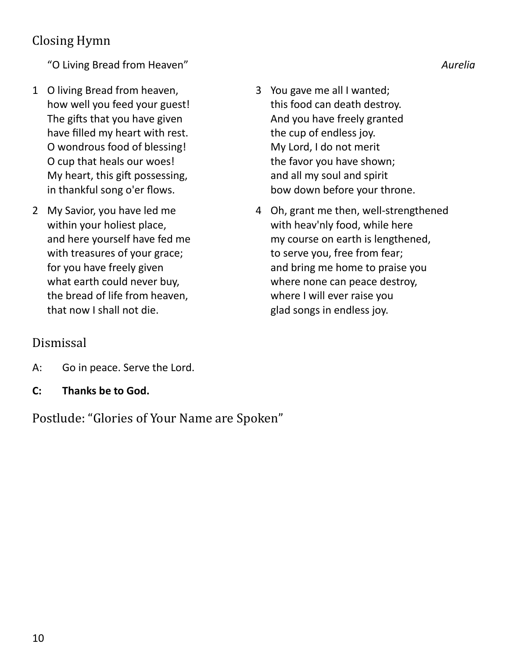# Closing Hymn

"O Living Bread from Heaven" *Aurelia*

- 1 O living Bread from heaven, how well you feed your guest! The gifts that you have given have filled my heart with rest. O wondrous food of blessing! O cup that heals our woes! My heart, this gift possessing, in thankful song o'er flows.
- 2 My Savior, you have led me within your holiest place, and here yourself have fed me with treasures of your grace; for you have freely given what earth could never buy, the bread of life from heaven, that now I shall not die.
- 3 You gave me all I wanted; this food can death destroy. And you have freely granted the cup of endless joy. My Lord, I do not merit the favor you have shown; and all my soul and spirit bow down before your throne.
- 4 Oh, grant me then, well-strengthened with heav'nly food, while here my course on earth is lengthened, to serve you, free from fear; and bring me home to praise you where none can peace destroy, where I will ever raise you glad songs in endless joy.

## Dismissal

- A: Go in peace. Serve the Lord.
- **C: Thanks be to God.**

Postlude: "Glories of Your Name are Spoken"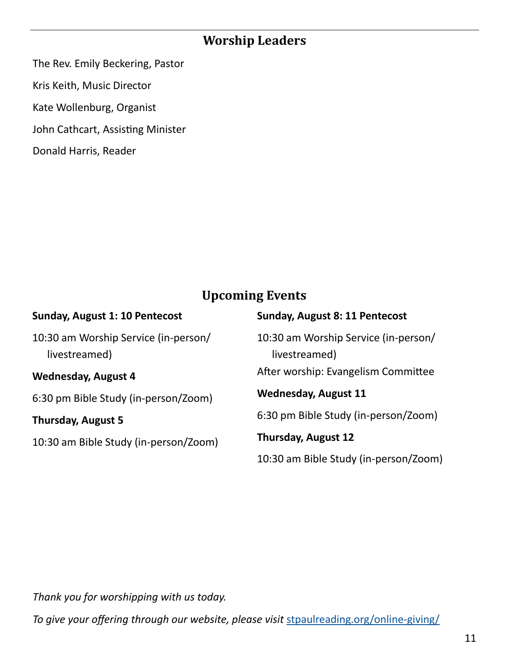## **Worship Leaders**

The Rev. Emily Beckering, Pastor

Kris Keith, Music Director

Kate Wollenburg, Organist

John Cathcart, Assisting Minister

Donald Harris, Reader

## **Upcoming Events**

| <b>Sunday, August 1: 10 Pentecost</b>                 | <b>Sunday, August 8: 11 Pentecost</b>                 |
|-------------------------------------------------------|-------------------------------------------------------|
| 10:30 am Worship Service (in-person/<br>livestreamed) | 10:30 am Worship Service (in-person/<br>livestreamed) |
| <b>Wednesday, August 4</b>                            | After worship: Evangelism Committee                   |
| 6:30 pm Bible Study (in-person/Zoom)                  | <b>Wednesday, August 11</b>                           |
| <b>Thursday, August 5</b>                             | 6:30 pm Bible Study (in-person/Zoom)                  |
| 10:30 am Bible Study (in-person/Zoom)                 | <b>Thursday, August 12</b>                            |
|                                                       | 10:30 am Bible Study (in-person/Zoom)                 |

*Thank you for worshipping with us today.*

*To give your offering through our website, please visit [stpaulreading.org/online](https://www.stpaulreading.org/online-giving/)-giving/*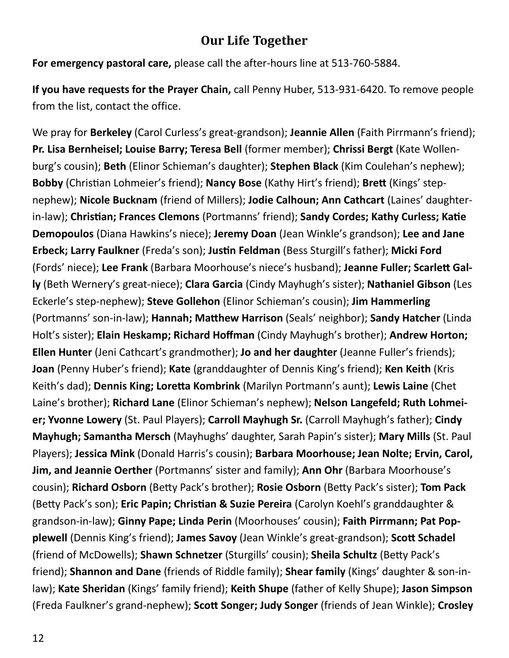## **Our Life Together**

**For emergency pastoral care,** please call the after-hours line at 513-760-5884.

**If you have requests for the Prayer Chain,** call Penny Huber, 513-931-6420. To remove people from the list, contact the office.

We pray for **Berkeley** (Carol Curless's great-grandson); **Jeannie Allen** (Faith Pirrmann's friend); **Pr. Lisa Bernheisel; Louise Barry; Teresa Bell** (former member); **Chrissi Bergt** (Kate Wollenburg's cousin); **Beth** (Elinor Schieman's daughter); **Stephen Black** (Kim Coulehan's nephew); **Bobby** (Christian Lohmeier's friend); **Nancy Bose** (Kathy Hirt's friend); **Brett** (Kings' stepnephew); **Nicole Bucknam** (friend of Millers); **Jodie Calhoun; Ann Cathcart** (Laines' daughterin-law); **Christian; Frances Clemons** (Portmanns' friend); **Sandy Cordes; Kathy Curless; Katie Demopoulos** (Diana Hawkins's niece); **Jeremy Doan** (Jean Winkle's grandson); **Lee and Jane Erbeck; Larry Faulkner** (Freda's son); **Justin Feldman** (Bess Sturgill's father); **Micki Ford**  (Fords' niece); **Lee Frank** (Barbara Moorhouse's niece's husband); **Jeanne Fuller; Scarlett Gally** (Beth Wernery's great-niece); **Clara Garcia** (Cindy Mayhugh's sister); **Nathaniel Gibson** (Les Eckerle's step-nephew); **Steve Gollehon** (Elinor Schieman's cousin); **Jim Hammerling**  (Portmanns' son-in-law); **Hannah; Matthew Harrison** (Seals' neighbor); **Sandy Hatcher** (Linda Holt's sister); **Elain Heskamp; Richard Hoffman** (Cindy Mayhugh's brother); **Andrew Horton; Ellen Hunter** (Jeni Cathcart's grandmother); **Jo and her daughter** (Jeanne Fuller's friends); **Joan** (Penny Huber's friend); **Kate** (granddaughter of Dennis King's friend); **Ken Keith** (Kris Keith's dad); **Dennis King; Loretta Kombrink** (Marilyn Portmann's aunt); **Lewis Laine** (Chet Laine's brother); **Richard Lane** (Elinor Schieman's nephew); **Nelson Langefeld; Ruth Lohmeier; Yvonne Lowery** (St. Paul Players); **Carroll Mayhugh Sr.** (Carroll Mayhugh's father); **Cindy Mayhugh; Samantha Mersch** (Mayhughs' daughter, Sarah Papin's sister); **Mary Mills** (St. Paul Players); **Jessica Mink** (Donald Harris's cousin); **Barbara Moorhouse; Jean Nolte; Ervin, Carol, Jim, and Jeannie Oerther** (Portmanns' sister and family); **Ann Ohr** (Barbara Moorhouse's cousin); **Richard Osborn** (Betty Pack's brother); **Rosie Osborn** (Betty Pack's sister); **Tom Pack**  (Betty Pack's son); **Eric Papin; Christian & Suzie Pereira** (Carolyn Koehl's granddaughter & grandson-in-law); **Ginny Pape; Linda Perin** (Moorhouses' cousin); **Faith Pirrmann; Pat Popplewell** (Dennis King's friend); **James Savoy** (Jean Winkle's great-grandson); **Scott Schadel**  (friend of McDowells); **Shawn Schnetzer** (Sturgills' cousin); **Sheila Schultz** (Betty Pack's friend); **Shannon and Dane** (friends of Riddle family); **Shear family** (Kings' daughter & son-inlaw); **Kate Sheridan** (Kings' family friend); **Keith Shupe** (father of Kelly Shupe); **Jason Simpson**  (Freda Faulkner's grand-nephew); **Scott Songer; Judy Songer** (friends of Jean Winkle); **Crosley**